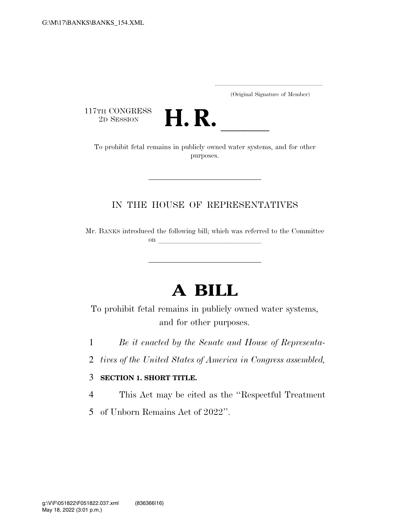..................................................................... (Original Signature of Member)

117TH CONGRESS<br>2D SESSION



TH CONGRESS<br>
2D SESSION<br>
To prohibit fetal remains in publicly owned water systems, and for other purposes.

### IN THE HOUSE OF REPRESENTATIVES

Mr. BANKS introduced the following bill; which was referred to the Committee on llet us a set of the set of the set of the set of the set of the set of the set of the set of the set of the set of the set of the set of the set of the set of the set of the set of the set of the set of the set of the

# **A BILL**

To prohibit fetal remains in publicly owned water systems, and for other purposes.

1 *Be it enacted by the Senate and House of Representa-*

2 *tives of the United States of America in Congress assembled,* 

#### 3 **SECTION 1. SHORT TITLE.**

4 This Act may be cited as the ''Respectful Treatment

5 of Unborn Remains Act of 2022''.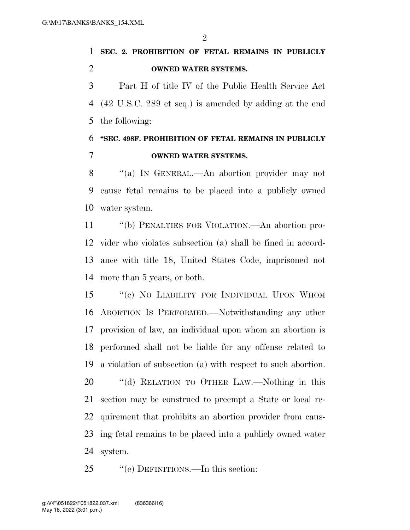$\mathfrak{D}$ 

## **SEC. 2. PROHIBITION OF FETAL REMAINS IN PUBLICLY OWNED WATER SYSTEMS.**

 Part H of title IV of the Public Health Service Act (42 U.S.C. 289 et seq.) is amended by adding at the end the following:

## **''SEC. 498F. PROHIBITION OF FETAL REMAINS IN PUBLICLY OWNED WATER SYSTEMS.**

 ''(a) IN GENERAL.—An abortion provider may not cause fetal remains to be placed into a publicly owned water system.

 ''(b) PENALTIES FOR VIOLATION.—An abortion pro- vider who violates subsection (a) shall be fined in accord- ance with title 18, United States Code, imprisoned not more than 5 years, or both.

 ''(c) NO LIABILITY FOR INDIVIDUAL UPON WHOM ABORTION IS PERFORMED.—Notwithstanding any other provision of law, an individual upon whom an abortion is performed shall not be liable for any offense related to a violation of subsection (a) with respect to such abortion. 20 "(d) RELATION TO OTHER LAW.—Nothing in this section may be construed to preempt a State or local re- quirement that prohibits an abortion provider from caus- ing fetal remains to be placed into a publicly owned water system.

25 "(e) DEFINITIONS.—In this section: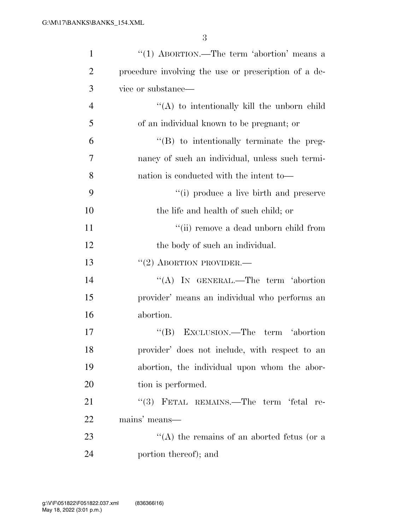3

| $\mathbf{1}$   | "(1) ABORTION.—The term 'abortion' means a           |
|----------------|------------------------------------------------------|
| $\overline{2}$ | procedure involving the use or prescription of a de- |
| 3              | vice or substance—                                   |
| $\overline{4}$ | "(A) to intentionally kill the unborn child          |
| 5              | of an individual known to be pregnant; or            |
| 6              | "(B) to intentionally terminate the preg-            |
| 7              | nancy of such an individual, unless such termi-      |
| 8              | nation is conducted with the intent to-              |
| 9              | "(i) produce a live birth and preserve               |
| 10             | the life and health of such child; or                |
| 11             | "(ii) remove a dead unborn child from                |
| 12             | the body of such an individual.                      |
| 13             | $``(2)$ ABORTION PROVIDER.—                          |
| 14             | "(A) IN GENERAL.—The term 'abortion                  |
| 15             | provider' means an individual who performs an        |
| 16             | abortion.                                            |
| 17             | "(B) EXCLUSION.—The term 'abortion                   |
| 18             | provider' does not include, with respect to an       |
| 19             | abortion, the individual upon whom the abor-         |
| 20             | tion is performed.                                   |
| 21             | "(3) FETAL REMAINS.—The term 'fetal re-              |
| 22             | mains' means—                                        |
| 23             | "(A) the remains of an aborted fetus (or a           |
| 24             | portion thereof); and                                |